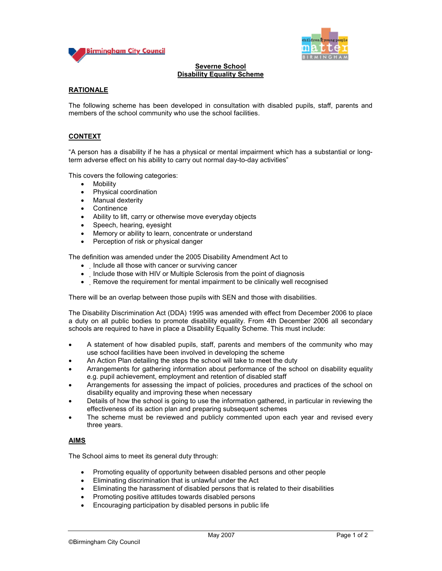



## **Severne School Disability Equality Scheme**

# **RATIONALE**

The following scheme has been developed in consultation with disabled pupils, staff, parents and members of the school community who use the school facilities.

# **CONTEXT**

"A person has a disability if he has a physical or mental impairment which has a substantial or longterm adverse effect on his ability to carry out normal day-to-day activities"

This covers the following categories:

- Mobility
- Physical coordination
- Manual dexterity
- Continence
- Ability to lift, carry or otherwise move everyday objects
- Speech, hearing, eyesight
- Memory or ability to learn, concentrate or understand
- Perception of risk or physical danger

The definition was amended under the 2005 Disability Amendment Act to

- Include all those with cancer or surviving cancer
- Include those with HIV or Multiple Sclerosis from the point of diagnosis
- Remove the requirement for mental impairment to be clinically well recognised

There will be an overlap between those pupils with SEN and those with disabilities.

The Disability Discrimination Act (DDA) 1995 was amended with effect from December 2006 to place a duty on all public bodies to promote disability equality. From 4th December 2006 all secondary schools are required to have in place a Disability Equality Scheme. This must include:

- A statement of how disabled pupils, staff, parents and members of the community who may use school facilities have been involved in developing the scheme
- An Action Plan detailing the steps the school will take to meet the duty
- Arrangements for gathering information about performance of the school on disability equality e.g. pupil achievement, employment and retention of disabled staff
- Arrangements for assessing the impact of policies, procedures and practices of the school on disability equality and improving these when necessary
- Details of how the school is going to use the information gathered, in particular in reviewing the effectiveness of its action plan and preparing subsequent schemes
- The scheme must be reviewed and publicly commented upon each year and revised every three years.

## **AIMS**

The School aims to meet its general duty through:

- Promoting equality of opportunity between disabled persons and other people
- Eliminating discrimination that is unlawful under the Act
- Eliminating the harassment of disabled persons that is related to their disabilities
- Promoting positive attitudes towards disabled persons
- Encouraging participation by disabled persons in public life